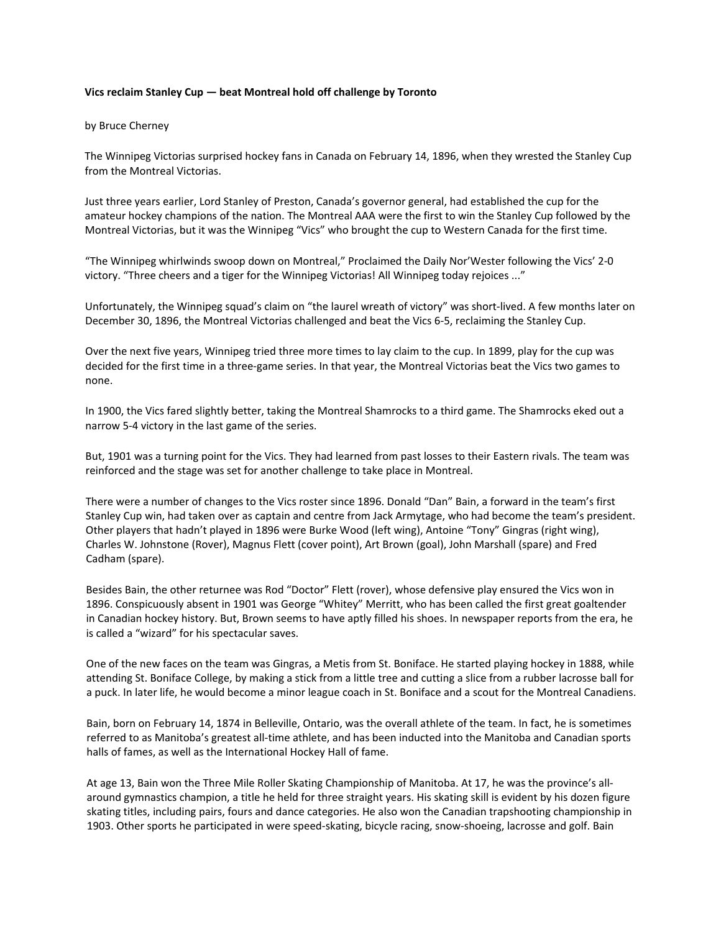## **Vics reclaim Stanley Cup — beat Montreal hold off challenge by Toronto**

## by Bruce Cherney

The Winnipeg Victorias surprised hockey fans in Canada on February 14, 1896, when they wrested the Stanley Cup from the Montreal Victorias.

Just three years earlier, Lord Stanley of Preston, Canada's governor general, had established the cup for the amateur hockey champions of the nation. The Montreal AAA were the first to win the Stanley Cup followed by the Montreal Victorias, but it was the Winnipeg "Vics" who brought the cup to Western Canada for the first time.

"The Winnipeg whirlwinds swoop down on Montreal," Proclaimed the Daily Nor'Wester following the Vics' 2‐0 victory. "Three cheers and a tiger for the Winnipeg Victorias! All Winnipeg today rejoices ..."

Unfortunately, the Winnipeg squad's claim on "the laurel wreath of victory" was short‐lived. A few months later on December 30, 1896, the Montreal Victorias challenged and beat the Vics 6‐5, reclaiming the Stanley Cup.

Over the next five years, Winnipeg tried three more times to lay claim to the cup. In 1899, play for the cup was decided for the first time in a three‐game series. In that year, the Montreal Victorias beat the Vics two games to none.

In 1900, the Vics fared slightly better, taking the Montreal Shamrocks to a third game. The Shamrocks eked out a narrow 5‐4 victory in the last game of the series.

But, 1901 was a turning point for the Vics. They had learned from past losses to their Eastern rivals. The team was reinforced and the stage was set for another challenge to take place in Montreal.

There were a number of changes to the Vics roster since 1896. Donald "Dan" Bain, a forward in the team's first Stanley Cup win, had taken over as captain and centre from Jack Armytage, who had become the team's president. Other players that hadn't played in 1896 were Burke Wood (left wing), Antoine "Tony" Gingras (right wing), Charles W. Johnstone (Rover), Magnus Flett (cover point), Art Brown (goal), John Marshall (spare) and Fred Cadham (spare).

Besides Bain, the other returnee was Rod "Doctor" Flett (rover), whose defensive play ensured the Vics won in 1896. Conspicuously absent in 1901 was George "Whitey" Merritt, who has been called the first great goaltender in Canadian hockey history. But, Brown seems to have aptly filled his shoes. In newspaper reports from the era, he is called a "wizard" for his spectacular saves.

One of the new faces on the team was Gingras, a Metis from St. Boniface. He started playing hockey in 1888, while attending St. Boniface College, by making a stick from a little tree and cutting a slice from a rubber lacrosse ball for a puck. In later life, he would become a minor league coach in St. Boniface and a scout for the Montreal Canadiens.

Bain, born on February 14, 1874 in Belleville, Ontario, was the overall athlete of the team. In fact, he is sometimes referred to as Manitoba's greatest all‐time athlete, and has been inducted into the Manitoba and Canadian sports halls of fames, as well as the International Hockey Hall of fame.

At age 13, Bain won the Three Mile Roller Skating Championship of Manitoba. At 17, he was the province's all‐ around gymnastics champion, a title he held for three straight years. His skating skill is evident by his dozen figure skating titles, including pairs, fours and dance categories. He also won the Canadian trapshooting championship in 1903. Other sports he participated in were speed‐skating, bicycle racing, snow‐shoeing, lacrosse and golf. Bain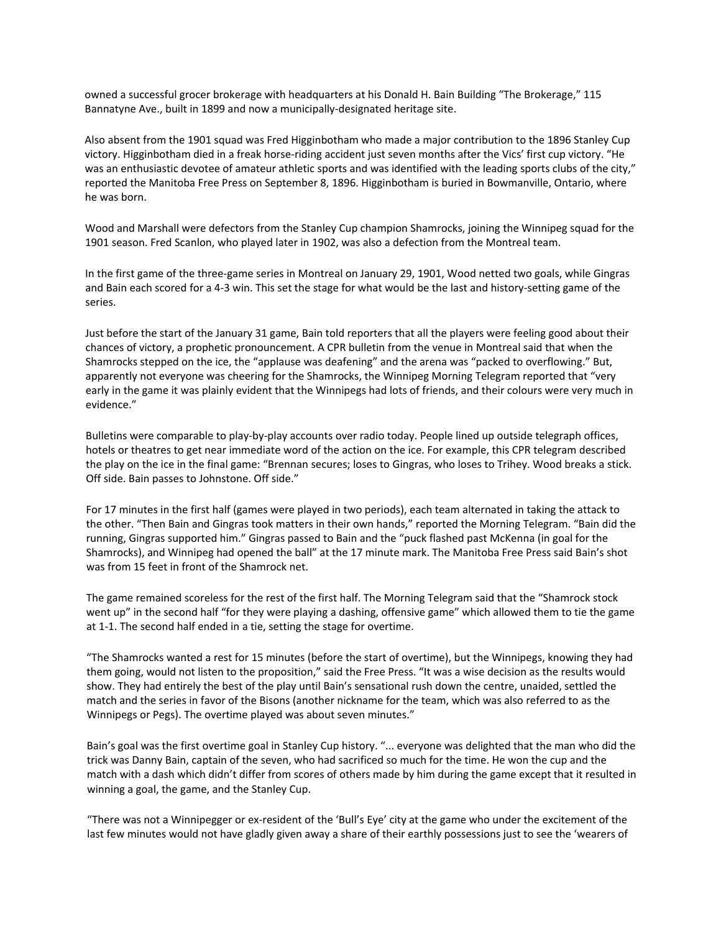owned a successful grocer brokerage with headquarters at his Donald H. Bain Building "The Brokerage," 115 Bannatyne Ave., built in 1899 and now a municipally‐designated heritage site.

Also absent from the 1901 squad was Fred Higginbotham who made a major contribution to the 1896 Stanley Cup victory. Higginbotham died in a freak horse-riding accident just seven months after the Vics' first cup victory. "He was an enthusiastic devotee of amateur athletic sports and was identified with the leading sports clubs of the city," reported the Manitoba Free Press on September 8, 1896. Higginbotham is buried in Bowmanville, Ontario, where he was born.

Wood and Marshall were defectors from the Stanley Cup champion Shamrocks, joining the Winnipeg squad for the 1901 season. Fred Scanlon, who played later in 1902, was also a defection from the Montreal team.

In the first game of the three‐game series in Montreal on January 29, 1901, Wood netted two goals, while Gingras and Bain each scored for a 4-3 win. This set the stage for what would be the last and history-setting game of the series.

Just before the start of the January 31 game, Bain told reporters that all the players were feeling good about their chances of victory, a prophetic pronouncement. A CPR bulletin from the venue in Montreal said that when the Shamrocks stepped on the ice, the "applause was deafening" and the arena was "packed to overflowing." But, apparently not everyone was cheering for the Shamrocks, the Winnipeg Morning Telegram reported that "very early in the game it was plainly evident that the Winnipegs had lots of friends, and their colours were very much in evidence."

Bulletins were comparable to play‐by‐play accounts over radio today. People lined up outside telegraph offices, hotels or theatres to get near immediate word of the action on the ice. For example, this CPR telegram described the play on the ice in the final game: "Brennan secures; loses to Gingras, who loses to Trihey. Wood breaks a stick. Off side. Bain passes to Johnstone. Off side."

For 17 minutes in the first half (games were played in two periods), each team alternated in taking the attack to the other. "Then Bain and Gingras took matters in their own hands," reported the Morning Telegram. "Bain did the running, Gingras supported him." Gingras passed to Bain and the "puck flashed past McKenna (in goal for the Shamrocks), and Winnipeg had opened the ball" at the 17 minute mark. The Manitoba Free Press said Bain's shot was from 15 feet in front of the Shamrock net.

The game remained scoreless for the rest of the first half. The Morning Telegram said that the "Shamrock stock went up" in the second half "for they were playing a dashing, offensive game" which allowed them to tie the game at 1‐1. The second half ended in a tie, setting the stage for overtime.

"The Shamrocks wanted a rest for 15 minutes (before the start of overtime), but the Winnipegs, knowing they had them going, would not listen to the proposition," said the Free Press. "It was a wise decision as the results would show. They had entirely the best of the play until Bain's sensational rush down the centre, unaided, settled the match and the series in favor of the Bisons (another nickname for the team, which was also referred to as the Winnipegs or Pegs). The overtime played was about seven minutes."

Bain's goal was the first overtime goal in Stanley Cup history. "... everyone was delighted that the man who did the trick was Danny Bain, captain of the seven, who had sacrificed so much for the time. He won the cup and the match with a dash which didn't differ from scores of others made by him during the game except that it resulted in winning a goal, the game, and the Stanley Cup.

"There was not a Winnipegger or ex‐resident of the 'Bull's Eye' city at the game who under the excitement of the last few minutes would not have gladly given away a share of their earthly possessions just to see the 'wearers of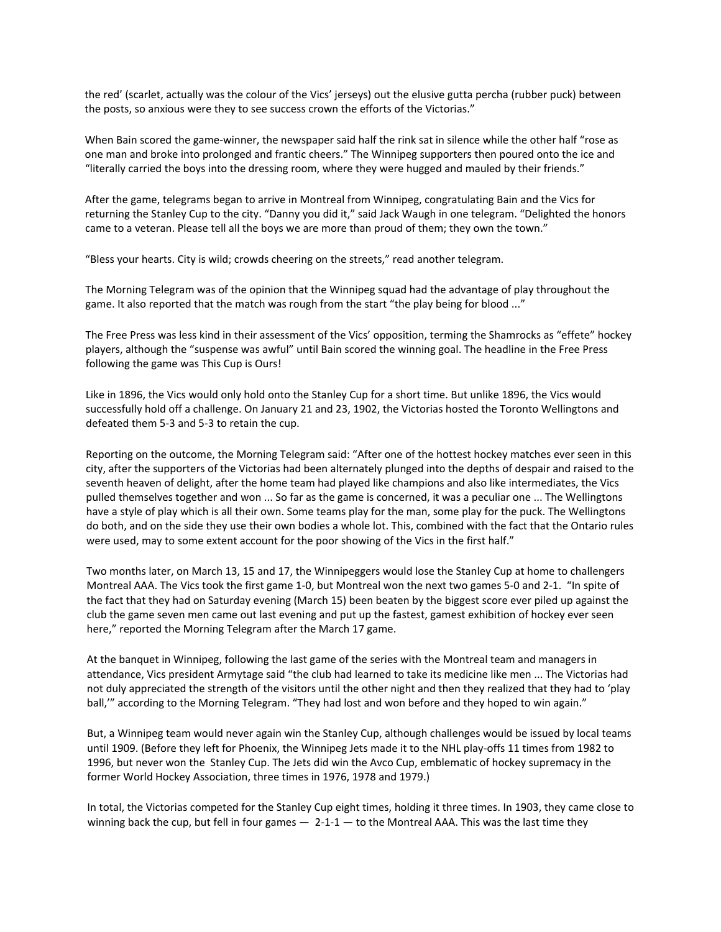the red' (scarlet, actually was the colour of the Vics' jerseys) out the elusive gutta percha (rubber puck) between the posts, so anxious were they to see success crown the efforts of the Victorias."

When Bain scored the game-winner, the newspaper said half the rink sat in silence while the other half "rose as one man and broke into prolonged and frantic cheers." The Winnipeg supporters then poured onto the ice and "literally carried the boys into the dressing room, where they were hugged and mauled by their friends."

After the game, telegrams began to arrive in Montreal from Winnipeg, congratulating Bain and the Vics for returning the Stanley Cup to the city. "Danny you did it," said Jack Waugh in one telegram. "Delighted the honors came to a veteran. Please tell all the boys we are more than proud of them; they own the town."

"Bless your hearts. City is wild; crowds cheering on the streets," read another telegram.

The Morning Telegram was of the opinion that the Winnipeg squad had the advantage of play throughout the game. It also reported that the match was rough from the start "the play being for blood ..."

The Free Press was less kind in their assessment of the Vics' opposition, terming the Shamrocks as "effete" hockey players, although the "suspense was awful" until Bain scored the winning goal. The headline in the Free Press following the game was This Cup is Ours!

Like in 1896, the Vics would only hold onto the Stanley Cup for a short time. But unlike 1896, the Vics would successfully hold off a challenge. On January 21 and 23, 1902, the Victorias hosted the Toronto Wellingtons and defeated them 5‐3 and 5‐3 to retain the cup.

Reporting on the outcome, the Morning Telegram said: "After one of the hottest hockey matches ever seen in this city, after the supporters of the Victorias had been alternately plunged into the depths of despair and raised to the seventh heaven of delight, after the home team had played like champions and also like intermediates, the Vics pulled themselves together and won ... So far as the game is concerned, it was a peculiar one ... The Wellingtons have a style of play which is all their own. Some teams play for the man, some play for the puck. The Wellingtons do both, and on the side they use their own bodies a whole lot. This, combined with the fact that the Ontario rules were used, may to some extent account for the poor showing of the Vics in the first half."

Two months later, on March 13, 15 and 17, the Winnipeggers would lose the Stanley Cup at home to challengers Montreal AAA. The Vics took the first game 1‐0, but Montreal won the next two games 5‐0 and 2‐1. "In spite of the fact that they had on Saturday evening (March 15) been beaten by the biggest score ever piled up against the club the game seven men came out last evening and put up the fastest, gamest exhibition of hockey ever seen here," reported the Morning Telegram after the March 17 game.

At the banquet in Winnipeg, following the last game of the series with the Montreal team and managers in attendance, Vics president Armytage said "the club had learned to take its medicine like men ... The Victorias had not duly appreciated the strength of the visitors until the other night and then they realized that they had to 'play ball," according to the Morning Telegram. "They had lost and won before and they hoped to win again."

But, a Winnipeg team would never again win the Stanley Cup, although challenges would be issued by local teams until 1909. (Before they left for Phoenix, the Winnipeg Jets made it to the NHL play‐offs 11 times from 1982 to 1996, but never won the Stanley Cup. The Jets did win the Avco Cup, emblematic of hockey supremacy in the former World Hockey Association, three times in 1976, 1978 and 1979.)

In total, the Victorias competed for the Stanley Cup eight times, holding it three times. In 1903, they came close to winning back the cup, but fell in four games  $-2$ -1-1  $-$  to the Montreal AAA. This was the last time they